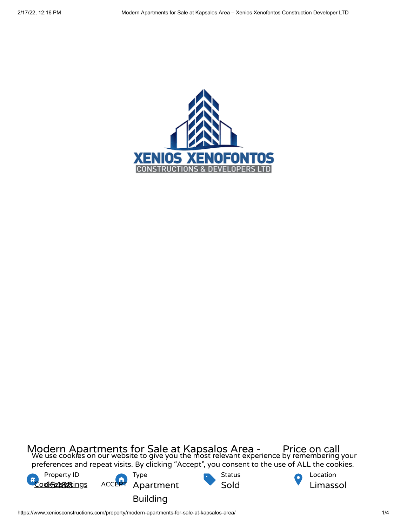

Modern Apartments for Sale at Kapsalos Area - Price on call<br>We use cookies on our website to give you the most relevant experience by remembering your preferences and repeat visits. By clicking "Accept", you consent to the use of ALL the cookies.

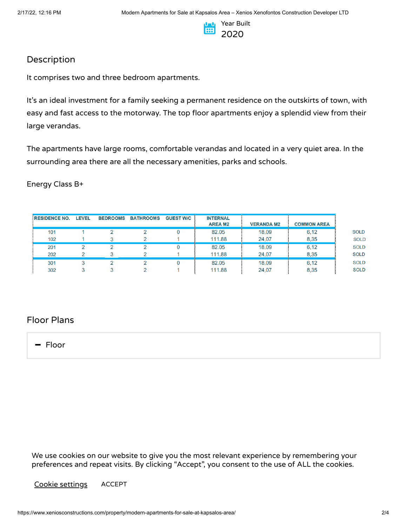

## Description

It comprises two and three bedroom apartments.

It's an ideal investment for a family seeking a permanent residence on the outskirts of town, with easy and fast access to the motorway. The top floor apartments enjoy a splendid view from their large verandas.

The apartments have large rooms, comfortable verandas and located in a very quiet area. In the surrounding area there are all the necessary amenities, parks and schools.

## Energy Class B+

| <b>RESIDENCE NO.</b> | <b>LEVEL</b> | <b>BEDROOMS</b> | <b>BATHROOMS</b> | <b>GUEST W/C</b> | <b>INTERNAL</b> |                   |                    |
|----------------------|--------------|-----------------|------------------|------------------|-----------------|-------------------|--------------------|
|                      |              |                 |                  |                  | <b>AREA M2</b>  | <b>VERANDA M2</b> | <b>COMMON AREA</b> |
| 101                  |              |                 |                  |                  | 82.05           | 18,09             | 6.12               |
| 102                  |              |                 |                  |                  | 111.88          | 24,07             | 8.35               |
| 201                  |              |                 |                  |                  | 82.05           | 18,09             | 6.12               |
| 202                  |              |                 |                  |                  | 111.88          | 24,07             | 8,35               |
| 301                  |              |                 |                  |                  | 82.05           | 18,09             | 6.12               |
| 302                  |              |                 |                  |                  | 111.88          | 24,07             | 8,35               |

## Floor Plans

- Floor

We use cookies on our website to give you the most relevant experience by remembering your preferences and repeat visits. By clicking "Accept", you consent to the use of ALL the cookies.

Cookie settings ACCEPT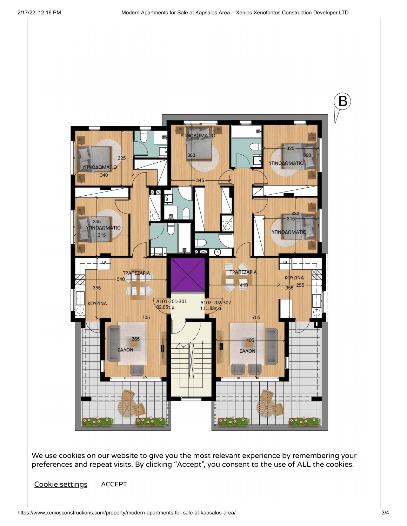

We use cookies on our website to give you the most relevant experience by [remembering](https://www.xeniosconstructions.com/wp-content/uploads/2020/08/TYPICOS-OROFOS.jpg) your preferences and repeat visits. By clicking "Accept", you consent to the use of ALL the cookies.

Cookie settings ACCEPT